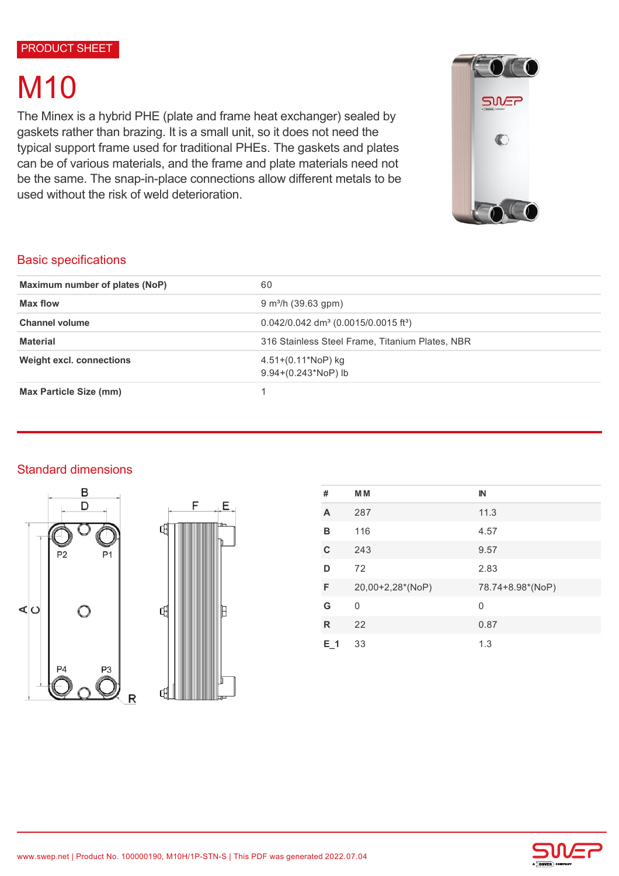# **M10**

The Minex is a hybrid PHE (plate and frame heat exchanger) sealed by gaskets rather than brazing. It is a small unit, so it does not need the typical support frame used for traditional PHEs. The gaskets and plates can be of various materials, and the frame and plate materials need not be the same. The snap-in-place connections allow different metals to be used without the risk of weld deterioration.



## Basic specifications

| Maximum number of plates (NoP)  | 60                                                             |  |
|---------------------------------|----------------------------------------------------------------|--|
| Max flow                        | $9 \text{ m}^3$ /h (39.63 gpm)                                 |  |
| <b>Channel volume</b>           | $0.042/0.042$ dm <sup>3</sup> (0.0015/0.0015 ft <sup>3</sup> ) |  |
| <b>Material</b>                 | 316 Stainless Steel Frame, Titanium Plates, NBR                |  |
| <b>Weight excl. connections</b> | $4.51+(0.11*NOP)$ kg<br>$9.94+(0.243*NoP)$ lb                  |  |
| <b>Max Particle Size (mm)</b>   |                                                                |  |

# Standard dimensions





| #   | <b>MM</b>        | $\mathbb{N}$     |
|-----|------------------|------------------|
| A   | 287              | 11.3             |
| в   | 116              | 4.57             |
| C   | 243              | 9.57             |
| D   | 72               | 2.83             |
| F   | 20,00+2,28*(NoP) | 78.74+8.98*(NoP) |
| G   | 0                | 0                |
| R   | 22               | 0.87             |
| E 1 | 33               | 1.3              |